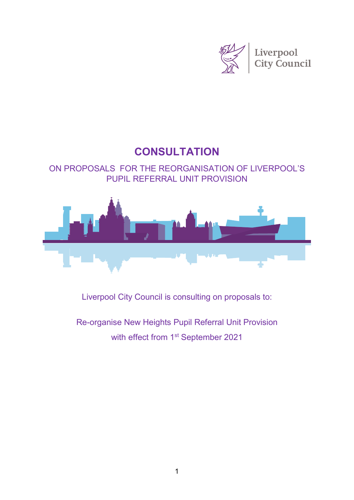

# **CONSULTATION**

# ON PROPOSALS FOR THE REORGANISATION OF LIVERPOOL'S PUPIL REFERRAL UNIT PROVISION



Liverpool City Council is consulting on proposals to:

Re-organise New Heights Pupil Referral Unit Provision with effect from 1<sup>st</sup> September 2021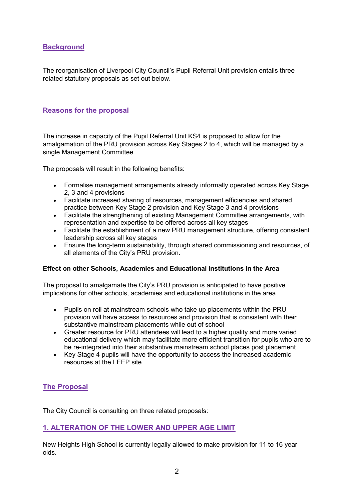# **Background**

The reorganisation of Liverpool City Council's Pupil Referral Unit provision entails three related statutory proposals as set out below.

## **Reasons for the proposal**

The increase in capacity of the Pupil Referral Unit KS4 is proposed to allow for the amalgamation of the PRU provision across Key Stages 2 to 4, which will be managed by a single Management Committee.

The proposals will result in the following benefits:

- Formalise management arrangements already informally operated across Key Stage 2, 3 and 4 provisions
- Facilitate increased sharing of resources, management efficiencies and shared practice between Key Stage 2 provision and Key Stage 3 and 4 provisions
- Facilitate the strengthening of existing Management Committee arrangements, with representation and expertise to be offered across all key stages
- Facilitate the establishment of a new PRU management structure, offering consistent leadership across all key stages
- Ensure the long-term sustainability, through shared commissioning and resources, of all elements of the City's PRU provision.

#### **Effect on other Schools, Academies and Educational Institutions in the Area**

The proposal to amalgamate the City's PRU provision is anticipated to have positive implications for other schools, academies and educational institutions in the area.

- Pupils on roll at mainstream schools who take up placements within the PRU provision will have access to resources and provision that is consistent with their substantive mainstream placements while out of school
- Greater resource for PRU attendees will lead to a higher quality and more varied educational delivery which may facilitate more efficient transition for pupils who are to be re-integrated into their substantive mainstream school places post placement
- Key Stage 4 pupils will have the opportunity to access the increased academic resources at the LEEP site

# **The Proposal**

The City Council is consulting on three related proposals:

### **1. ALTERATION OF THE LOWER AND UPPER AGE LIMIT**

New Heights High School is currently legally allowed to make provision for 11 to 16 year olds.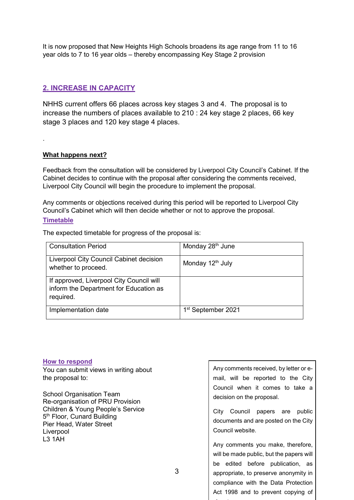It is now proposed that New Heights High Schools broadens its age range from 11 to 16 year olds to 7 to 16 year olds – thereby encompassing Key Stage 2 provision

# **2. INCREASE IN CAPACITY**

NHHS current offers 66 places across key stages 3 and 4. The proposal is to increase the numbers of places available to 210 : 24 key stage 2 places, 66 key stage 3 places and 120 key stage 4 places.

#### **What happens next?**

Feedback from the consultation will be considered by Liverpool City Council's Cabinet. If the Cabinet decides to continue with the proposal after considering the comments received, Liverpool City Council will begin the procedure to implement the proposal.

Any comments or objections received during this period will be reported to Liverpool City Council's Cabinet which will then decide whether or not to approve the proposal.

#### **Timetable**

.

The expected timetable for progress of the proposal is:

| <b>Consultation Period</b>                                                                      | Monday 28 <sup>th</sup> June   |
|-------------------------------------------------------------------------------------------------|--------------------------------|
| Liverpool City Council Cabinet decision<br>whether to proceed.                                  | Monday 12 <sup>th</sup> July   |
| If approved, Liverpool City Council will<br>inform the Department for Education as<br>required. |                                |
| Implementation date                                                                             | 1 <sup>st</sup> September 2021 |

3

#### **How to respond**

You can submit views in writing about the proposal to:

School Organisation Team Re-organisation of PRU Provision Children & Young People's Service 5<sup>th</sup> Floor, Cunard Building Pier Head, Water Street **Liverpool** L3 1AH

Any comments received, by letter or email, will be reported to the City Council when it comes to take a decision on the proposal.

City Council papers are public documents and are posted on the City Council website.

Any comments you make, therefore, will be made public, but the papers will be edited before publication, as appropriate, to preserve anonymity in compliance with the Data Protection Act 1998 and to prevent copying of

i t